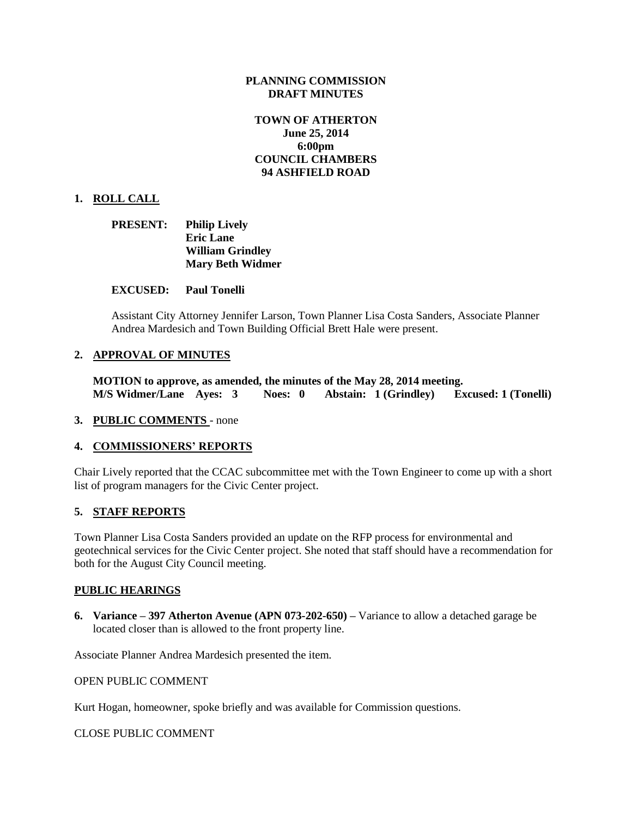## **PLANNING COMMISSION DRAFT MINUTES**

# **TOWN OF ATHERTON June 25, 2014 6:00pm COUNCIL CHAMBERS 94 ASHFIELD ROAD**

## **1. ROLL CALL**

| <b>PRESENT:</b> | <b>Philip Lively</b>    |
|-----------------|-------------------------|
|                 | <b>Eric Lane</b>        |
|                 | <b>William Grindley</b> |
|                 | <b>Mary Beth Widmer</b> |

#### **EXCUSED: Paul Tonelli**

Assistant City Attorney Jennifer Larson, Town Planner Lisa Costa Sanders, Associate Planner Andrea Mardesich and Town Building Official Brett Hale were present.

#### **2. APPROVAL OF MINUTES**

**MOTION to approve, as amended, the minutes of the May 28, 2014 meeting. M/S Widmer/Lane Ayes: 3 Noes: 0 Abstain: 1 (Grindley) Excused: 1 (Tonelli)**

#### **3. PUBLIC COMMENTS** - none

#### **4. COMMISSIONERS' REPORTS**

Chair Lively reported that the CCAC subcommittee met with the Town Engineer to come up with a short list of program managers for the Civic Center project.

#### **5. STAFF REPORTS**

Town Planner Lisa Costa Sanders provided an update on the RFP process for environmental and geotechnical services for the Civic Center project. She noted that staff should have a recommendation for both for the August City Council meeting.

#### **PUBLIC HEARINGS**

**6. Variance – 397 Atherton Avenue (APN 073-202-650) –** Variance to allow a detached garage be located closer than is allowed to the front property line.

Associate Planner Andrea Mardesich presented the item.

#### OPEN PUBLIC COMMENT

Kurt Hogan, homeowner, spoke briefly and was available for Commission questions.

CLOSE PUBLIC COMMENT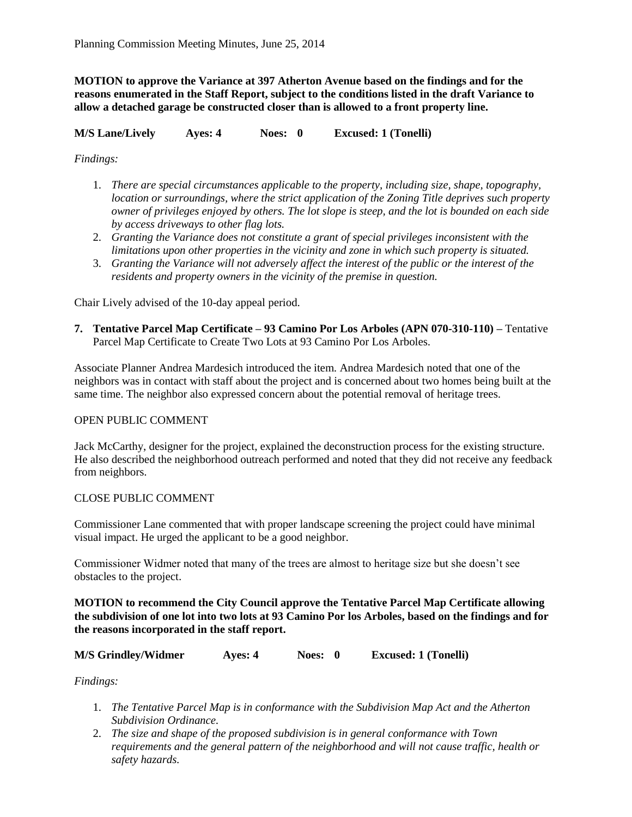**MOTION to approve the Variance at 397 Atherton Avenue based on the findings and for the reasons enumerated in the Staff Report, subject to the conditions listed in the draft Variance to allow a detached garage be constructed closer than is allowed to a front property line.**

**M/S Lane/Lively Ayes: 4 Noes: 0 Excused: 1 (Tonelli)**

*Findings:*

- 1. *There are special circumstances applicable to the property, including size, shape, topography, location or surroundings, where the strict application of the Zoning Title deprives such property owner of privileges enjoyed by others. The lot slope is steep, and the lot is bounded on each side by access driveways to other flag lots.*
- 2. *Granting the Variance does not constitute a grant of special privileges inconsistent with the limitations upon other properties in the vicinity and zone in which such property is situated.*
- 3. *Granting the Variance will not adversely affect the interest of the public or the interest of the residents and property owners in the vicinity of the premise in question.*

Chair Lively advised of the 10-day appeal period.

**7. Tentative Parcel Map Certificate – 93 Camino Por Los Arboles (APN 070-310-110) –** Tentative Parcel Map Certificate to Create Two Lots at 93 Camino Por Los Arboles.

Associate Planner Andrea Mardesich introduced the item. Andrea Mardesich noted that one of the neighbors was in contact with staff about the project and is concerned about two homes being built at the same time. The neighbor also expressed concern about the potential removal of heritage trees.

## OPEN PUBLIC COMMENT

Jack McCarthy, designer for the project, explained the deconstruction process for the existing structure. He also described the neighborhood outreach performed and noted that they did not receive any feedback from neighbors.

## CLOSE PUBLIC COMMENT

Commissioner Lane commented that with proper landscape screening the project could have minimal visual impact. He urged the applicant to be a good neighbor.

Commissioner Widmer noted that many of the trees are almost to heritage size but she doesn't see obstacles to the project.

**MOTION to recommend the City Council approve the Tentative Parcel Map Certificate allowing the subdivision of one lot into two lots at 93 Camino Por los Arboles, based on the findings and for the reasons incorporated in the staff report.**

**M/S Grindley/Widmer Ayes: 4 Noes: 0 Excused: 1 (Tonelli)**

*Findings:*

- 1. *The Tentative Parcel Map is in conformance with the Subdivision Map Act and the Atherton Subdivision Ordinance.*
- 2. *The size and shape of the proposed subdivision is in general conformance with Town requirements and the general pattern of the neighborhood and will not cause traffic, health or safety hazards.*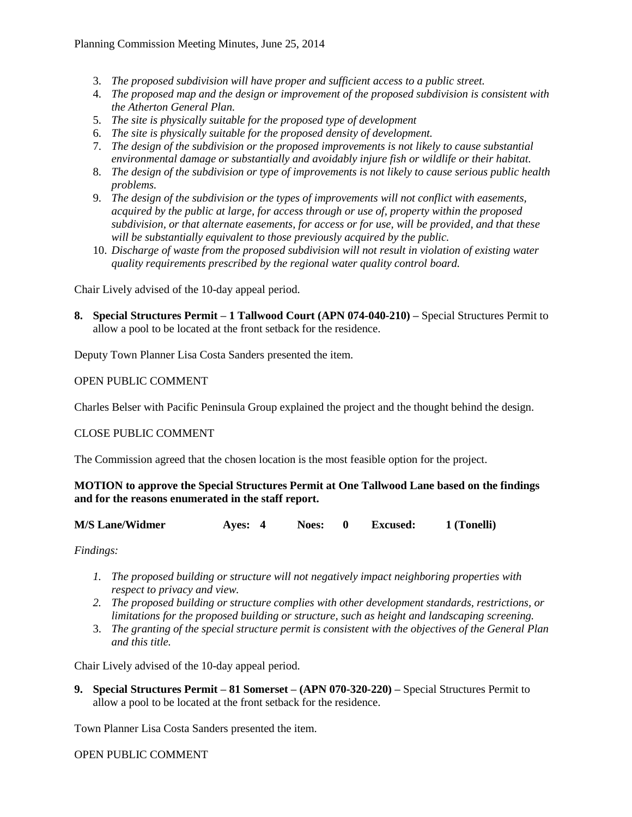- 3. *The proposed subdivision will have proper and sufficient access to a public street.*
- 4. *The proposed map and the design or improvement of the proposed subdivision is consistent with the Atherton General Plan.*
- 5. *The site is physically suitable for the proposed type of development*
- 6. *The site is physically suitable for the proposed density of development.*
- 7. *The design of the subdivision or the proposed improvements is not likely to cause substantial environmental damage or substantially and avoidably injure fish or wildlife or their habitat.*
- 8. *The design of the subdivision or type of improvements is not likely to cause serious public health problems.*
- 9. *The design of the subdivision or the types of improvements will not conflict with easements, acquired by the public at large, for access through or use of, property within the proposed subdivision, or that alternate easements, for access or for use, will be provided, and that these will be substantially equivalent to those previously acquired by the public.*
- 10. *Discharge of waste from the proposed subdivision will not result in violation of existing water quality requirements prescribed by the regional water quality control board.*

Chair Lively advised of the 10-day appeal period.

**8. Special Structures Permit – 1 Tallwood Court (APN 074-040-210) –** Special Structures Permit to allow a pool to be located at the front setback for the residence.

Deputy Town Planner Lisa Costa Sanders presented the item.

## OPEN PUBLIC COMMENT

Charles Belser with Pacific Peninsula Group explained the project and the thought behind the design.

## CLOSE PUBLIC COMMENT

The Commission agreed that the chosen location is the most feasible option for the project.

## **MOTION to approve the Special Structures Permit at One Tallwood Lane based on the findings and for the reasons enumerated in the staff report.**

| <b>M/S Lane/Widmer</b><br>Aves: 4 |  | Noes: 0 |  | <b>Excused:</b> | 1 (Tonelli) |
|-----------------------------------|--|---------|--|-----------------|-------------|
|-----------------------------------|--|---------|--|-----------------|-------------|

*Findings:*

- *1. The proposed building or structure will not negatively impact neighboring properties with respect to privacy and view.*
- *2. The proposed building or structure complies with other development standards, restrictions, or limitations for the proposed building or structure, such as height and landscaping screening.*
- 3. *The granting of the special structure permit is consistent with the objectives of the General Plan and this title.*

Chair Lively advised of the 10-day appeal period.

**9. Special Structures Permit – 81 Somerset – (APN 070-320-220) –** Special Structures Permit to allow a pool to be located at the front setback for the residence.

Town Planner Lisa Costa Sanders presented the item.

## OPEN PUBLIC COMMENT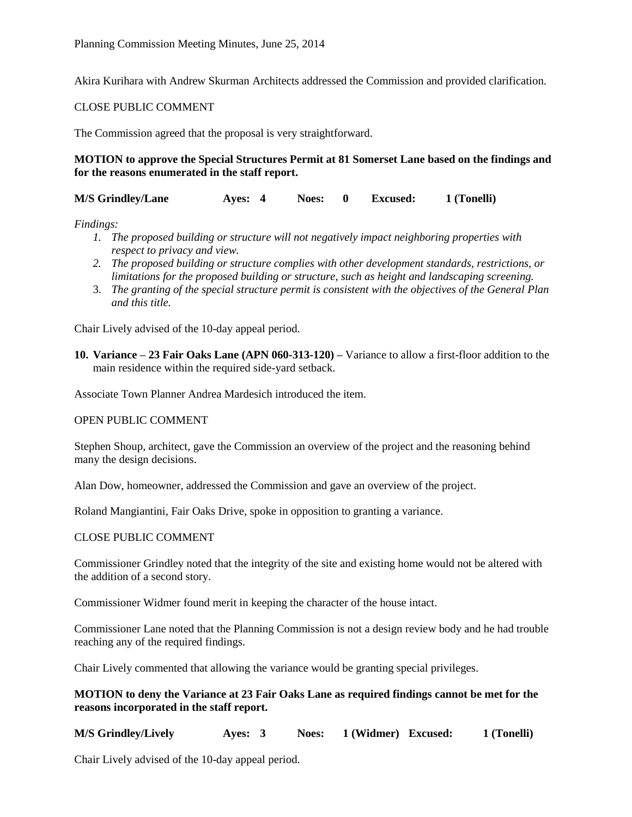Akira Kurihara with Andrew Skurman Architects addressed the Commission and provided clarification.

#### CLOSE PUBLIC COMMENT

The Commission agreed that the proposal is very straightforward.

## **MOTION to approve the Special Structures Permit at 81 Somerset Lane based on the findings and for the reasons enumerated in the staff report.**

**M/S Grindley/Lane Ayes: 4 Noes: 0 Excused: 1 (Tonelli)**

*Findings:*

- *1. The proposed building or structure will not negatively impact neighboring properties with respect to privacy and view.*
- *2. The proposed building or structure complies with other development standards, restrictions, or limitations for the proposed building or structure, such as height and landscaping screening.*
- 3. *The granting of the special structure permit is consistent with the objectives of the General Plan and this title.*

Chair Lively advised of the 10-day appeal period.

**10. Variance – 23 Fair Oaks Lane (APN 060-313-120) –** Variance to allow a first-floor addition to the main residence within the required side-yard setback.

Associate Town Planner Andrea Mardesich introduced the item.

## OPEN PUBLIC COMMENT

Stephen Shoup, architect, gave the Commission an overview of the project and the reasoning behind many the design decisions.

Alan Dow, homeowner, addressed the Commission and gave an overview of the project.

Roland Mangiantini, Fair Oaks Drive, spoke in opposition to granting a variance.

#### CLOSE PUBLIC COMMENT

Commissioner Grindley noted that the integrity of the site and existing home would not be altered with the addition of a second story.

Commissioner Widmer found merit in keeping the character of the house intact.

Commissioner Lane noted that the Planning Commission is not a design review body and he had trouble reaching any of the required findings.

Chair Lively commented that allowing the variance would be granting special privileges.

**MOTION to deny the Variance at 23 Fair Oaks Lane as required findings cannot be met for the reasons incorporated in the staff report.**

**M/S Grindley/Lively Ayes: 3 Noes: 1 (Widmer) Excused: 1 (Tonelli)**

Chair Lively advised of the 10-day appeal period.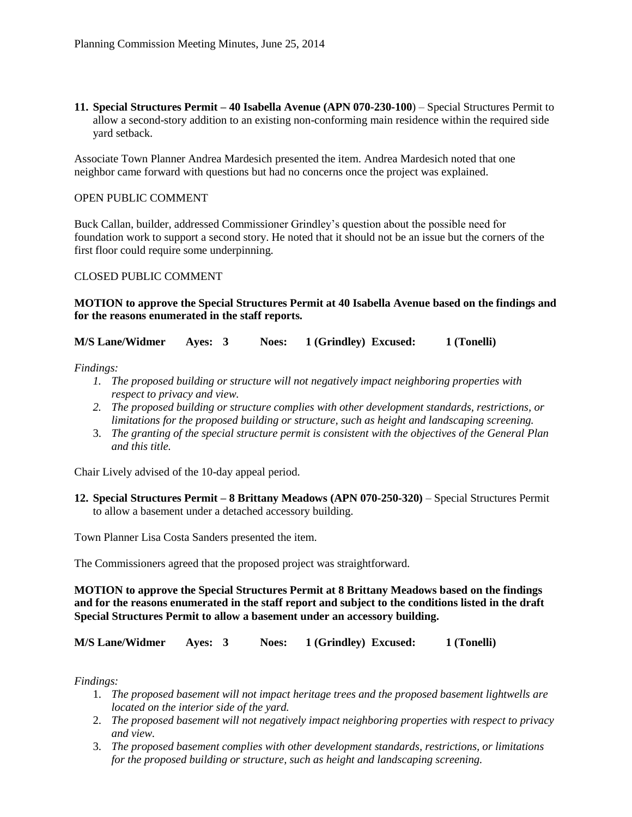**11. Special Structures Permit – 40 Isabella Avenue (APN 070-230-100**) – Special Structures Permit to allow a second-story addition to an existing non-conforming main residence within the required side yard setback.

Associate Town Planner Andrea Mardesich presented the item. Andrea Mardesich noted that one neighbor came forward with questions but had no concerns once the project was explained.

## OPEN PUBLIC COMMENT

Buck Callan, builder, addressed Commissioner Grindley's question about the possible need for foundation work to support a second story. He noted that it should not be an issue but the corners of the first floor could require some underpinning.

#### CLOSED PUBLIC COMMENT

#### **MOTION to approve the Special Structures Permit at 40 Isabella Avenue based on the findings and for the reasons enumerated in the staff reports.**

**M/S Lane/Widmer Ayes: 3 Noes: 1 (Grindley) Excused: 1 (Tonelli)**

*Findings:*

- *1. The proposed building or structure will not negatively impact neighboring properties with respect to privacy and view.*
- *2. The proposed building or structure complies with other development standards, restrictions, or limitations for the proposed building or structure, such as height and landscaping screening.*
- 3. *The granting of the special structure permit is consistent with the objectives of the General Plan and this title.*

Chair Lively advised of the 10-day appeal period.

**12. Special Structures Permit – 8 Brittany Meadows (APN 070-250-320)** – Special Structures Permit to allow a basement under a detached accessory building.

Town Planner Lisa Costa Sanders presented the item.

The Commissioners agreed that the proposed project was straightforward.

**MOTION to approve the Special Structures Permit at 8 Brittany Meadows based on the findings and for the reasons enumerated in the staff report and subject to the conditions listed in the draft Special Structures Permit to allow a basement under an accessory building.**

**M/S Lane/Widmer Ayes: 3 Noes: 1 (Grindley) Excused: 1 (Tonelli)**

*Findings:*

- 1. *The proposed basement will not impact heritage trees and the proposed basement lightwells are located on the interior side of the yard.*
- 2. *The proposed basement will not negatively impact neighboring properties with respect to privacy and view.*
- 3. *The proposed basement complies with other development standards, restrictions, or limitations for the proposed building or structure, such as height and landscaping screening.*